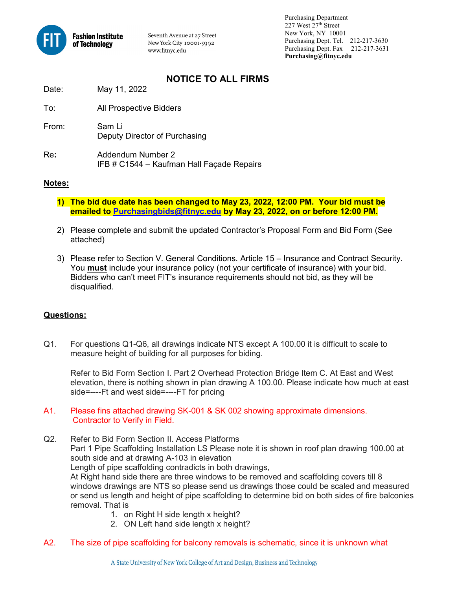

Seventh Avenue at 27 Street New York City 10001-5992 www.fitnyc.edu

 Purchasing Department 227 West 27th Street New York, NY 10001 Purchasing Dept. Tel. 212-217-3630 Purchasing Dept. Fax 212-217-3631 **Purchasing@fitnyc.edu**

# **NOTICE TO ALL FIRMS**

| Date: | May 11, 2022 |  |
|-------|--------------|--|
|       |              |  |

| To:   | All Prospective Bidders                                        |
|-------|----------------------------------------------------------------|
| From: | Sam Li<br>Deputy Director of Purchasing                        |
| Re:   | Addendum Number 2<br>IFB # C1544 - Kaufman Hall Façade Repairs |

#### **Notes:**

- **1) The bid due date has been changed to May 23, 2022, 12:00 PM. Your bid must be emailed to [Purchasingbids@fitnyc.edu](mailto:Purchasingbids@fitnyc.edu) by May 23, 2022, on or before 12:00 PM.**
- 2) Please complete and submit the updated Contractor's Proposal Form and Bid Form (See attached)
- 3) Please refer to Section V. General Conditions. Article 15 Insurance and Contract Security. You **must** include your insurance policy (not your certificate of insurance) with your bid. Bidders who can't meet FIT's insurance requirements should not bid, as they will be disqualified.

### **Questions:**

Q1. For questions Q1-Q6, all drawings indicate NTS except A 100.00 it is difficult to scale to measure height of building for all purposes for biding.

Refer to Bid Form Section I. Part 2 Overhead Protection Bridge Item C. At East and West elevation, there is nothing shown in plan drawing A 100.00. Please indicate how much at east side=----Ft and west side=----FT for pricing

- A1. Please fins attached drawing SK-001 & SK 002 showing approximate dimensions. Contractor to Verify in Field.
- Q2. Refer to Bid Form Section II. Access Platforms Part 1 Pipe Scaffolding Installation LS Please note it is shown in roof plan drawing 100.00 at south side and at drawing A-103 in elevation Length of pipe scaffolding contradicts in both drawings, At Right hand side there are three windows to be removed and scaffolding covers till 8 windows drawings are NTS so please send us drawings those could be scaled and measured or send us length and height of pipe scaffolding to determine bid on both sides of fire balconies removal. That is
	- 1. on Right H side length x height?
	- 2. ON Left hand side length x height?
- A2. The size of pipe scaffolding for balcony removals is schematic, since it is unknown what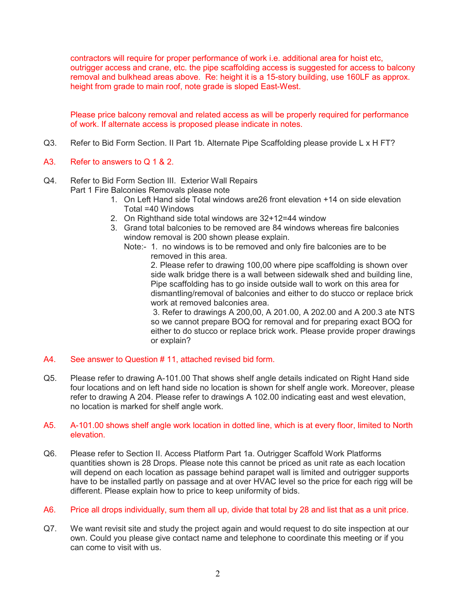contractors will require for proper performance of work i.e. additional area for hoist etc, outrigger access and crane, etc. the pipe scaffolding access is suggested for access to balcony removal and bulkhead areas above. Re: height it is a 15-story building, use 160LF as approx. height from grade to main roof, note grade is sloped East-West.

Please price balcony removal and related access as will be properly required for performance of work. If alternate access is proposed please indicate in notes.

- Q3. Refer to Bid Form Section. II Part 1b. Alternate Pipe Scaffolding please provide L x H FT?
- A3. Refer to answers to Q 1 & 2.
- Q4. Refer to Bid Form Section III. Exterior Wall Repairs Part 1 Fire Balconies Removals please note
	- 1. On Left Hand side Total windows are26 front elevation +14 on side elevation Total =40 Windows
	- 2. On Righthand side total windows are 32+12=44 window
	- 3. Grand total balconies to be removed are 84 windows whereas fire balconies window removal is 200 shown please explain.
		- Note:- 1. no windows is to be removed and only fire balconies are to be removed in this area.

2. Please refer to drawing 100,00 where pipe scaffolding is shown over side walk bridge there is a wall between sidewalk shed and building line, Pipe scaffolding has to go inside outside wall to work on this area for dismantling/removal of balconies and either to do stucco or replace brick work at removed balconies area.

3. Refer to drawings A 200,00, A 201.00, A 202.00 and A 200.3 ate NTS so we cannot prepare BOQ for removal and for preparing exact BOQ for either to do stucco or replace brick work. Please provide proper drawings or explain?

- A4. See answer to Question # 11, attached revised bid form.
- Q5. Please refer to drawing A-101.00 That shows shelf angle details indicated on Right Hand side four locations and on left hand side no location is shown for shelf angle work. Moreover, please refer to drawing A 204. Please refer to drawings A 102.00 indicating east and west elevation, no location is marked for shelf angle work.

#### A5. A-101.00 shows shelf angle work location in dotted line, which is at every floor, limited to North elevation.

- Q6. Please refer to Section II. Access Platform Part 1a. Outrigger Scaffold Work Platforms quantities shown is 28 Drops. Please note this cannot be priced as unit rate as each location will depend on each location as passage behind parapet wall is limited and outrigger supports have to be installed partly on passage and at over HVAC level so the price for each rigg will be different. Please explain how to price to keep uniformity of bids.
- A6. Price all drops individually, sum them all up, divide that total by 28 and list that as a unit price.
- Q7. We want revisit site and study the project again and would request to do site inspection at our own. Could you please give contact name and telephone to coordinate this meeting or if you can come to visit with us.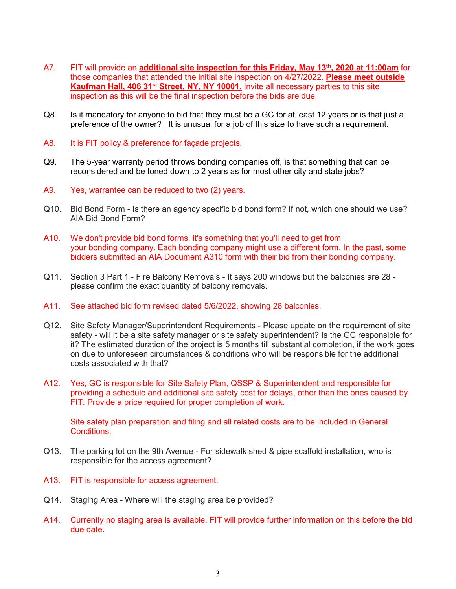- A7. FIT will provide an **additional site inspection for this Friday, May 13th, 2020 at 11:00am** for those companies that attended the initial site inspection on 4/27/2022. **Please meet outside Kaufman Hall, 406 31<sup>st</sup> Street, NY, NY 10001.** Invite all necessary parties to this site inspection as this will be the final inspection before the bids are due.
- Q8. Is it mandatory for anyone to bid that they must be a GC for at least 12 years or is that just a preference of the owner? It is unusual for a job of this size to have such a requirement.
- A8. It is FIT policy & preference for façade projects.
- Q9. The 5-year warranty period throws bonding companies off, is that something that can be reconsidered and be toned down to 2 years as for most other city and state jobs?
- A9. Yes, warrantee can be reduced to two (2) years.
- Q10. Bid Bond Form Is there an agency specific bid bond form? If not, which one should we use? AIA Bid Bond Form?
- A10. We don't provide bid bond forms, it's something that you'll need to get from your bonding company. Each bonding company might use a different form. In the past, some bidders submitted an AIA Document A310 form with their bid from their bonding company.
- Q11. Section 3 Part 1 Fire Balcony Removals It says 200 windows but the balconies are 28 please confirm the exact quantity of balcony removals.
- A11. See attached bid form revised dated 5/6/2022, showing 28 balconies.
- Q12. Site Safety Manager/Superintendent Requirements Please update on the requirement of site safety - will it be a site safety manager or site safety superintendent? Is the GC responsible for it? The estimated duration of the project is 5 months till substantial completion, if the work goes on due to unforeseen circumstances & conditions who will be responsible for the additional costs associated with that?
- A12. Yes, GC is responsible for Site Safety Plan, QSSP & Superintendent and responsible for providing a schedule and additional site safety cost for delays, other than the ones caused by FIT. Provide a price required for proper completion of work.

Site safety plan preparation and filing and all related costs are to be included in General Conditions.

- Q13. The parking lot on the 9th Avenue For sidewalk shed & pipe scaffold installation, who is responsible for the access agreement?
- A13. FIT is responsible for access agreement.
- Q14. Staging Area Where will the staging area be provided?
- A14. Currently no staging area is available. FIT will provide further information on this before the bid due date.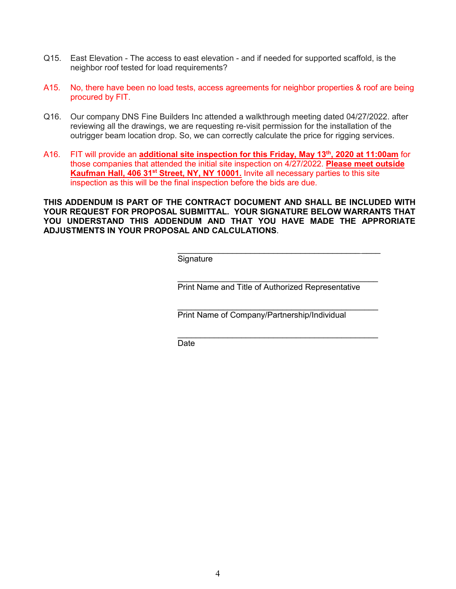- Q15. East Elevation The access to east elevation and if needed for supported scaffold, is the neighbor roof tested for load requirements?
- A15. No, there have been no load tests, access agreements for neighbor properties & roof are being procured by FIT.
- Q16. Our company DNS Fine Builders Inc attended a walkthrough meeting dated 04/27/2022. after reviewing all the drawings, we are requesting re-visit permission for the installation of the outrigger beam location drop. So, we can correctly calculate the price for rigging services.
- A16. FIT will provide an **additional site inspection for this Friday, May 13th, 2020 at 11:00am** for those companies that attended the initial site inspection on 4/27/2022. **Please meet outside Kaufman Hall, 406 31st Street, NY, NY 10001.** Invite all necessary parties to this site inspection as this will be the final inspection before the bids are due.

**THIS ADDENDUM IS PART OF THE CONTRACT DOCUMENT AND SHALL BE INCLUDED WITH YOUR REQUEST FOR PROPOSAL SUBMITTAL. YOUR SIGNATURE BELOW WARRANTS THAT YOU UNDERSTAND THIS ADDENDUM AND THAT YOU HAVE MADE THE APPRORIATE ADJUSTMENTS IN YOUR PROPOSAL AND CALCULATIONS**.

> $\overline{\phantom{a}}$  , and the contract of the contract of the contract of the contract of the contract of the contract of the contract of the contract of the contract of the contract of the contract of the contract of the contrac **Signature**

\_\_\_\_\_\_\_\_\_\_\_\_\_\_\_\_\_\_\_\_\_\_\_\_\_\_\_\_\_\_\_\_\_\_\_\_\_\_\_\_\_\_\_\_ Print Name and Title of Authorized Representative

\_\_\_\_\_\_\_\_\_\_\_\_\_\_\_\_\_\_\_\_\_\_\_\_\_\_\_\_\_\_\_\_\_\_\_\_\_\_\_\_\_\_\_\_

 $\frac{1}{\sqrt{2}}$  ,  $\frac{1}{\sqrt{2}}$  ,  $\frac{1}{\sqrt{2}}$  ,  $\frac{1}{\sqrt{2}}$  ,  $\frac{1}{\sqrt{2}}$  ,  $\frac{1}{\sqrt{2}}$  ,  $\frac{1}{\sqrt{2}}$  ,  $\frac{1}{\sqrt{2}}$  ,  $\frac{1}{\sqrt{2}}$  ,  $\frac{1}{\sqrt{2}}$  ,  $\frac{1}{\sqrt{2}}$  ,  $\frac{1}{\sqrt{2}}$  ,  $\frac{1}{\sqrt{2}}$  ,  $\frac{1}{\sqrt{2}}$  ,  $\frac{1}{\sqrt{2}}$ Print Name of Company/Partnership/Individual

de de la contradición de la contradición de la contradición de la contradición de la contradición de la contra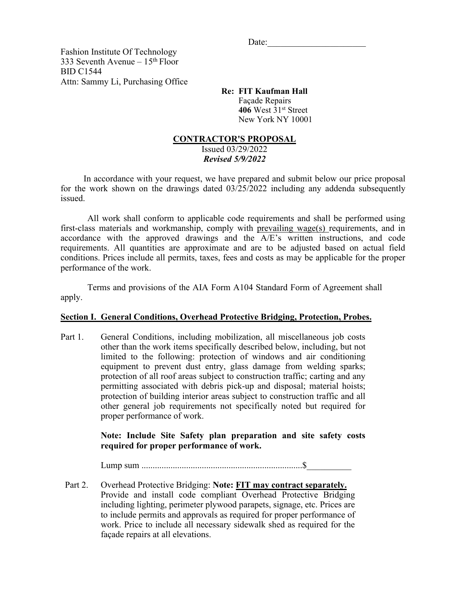$Date:$ 

Fashion Institute Of Technology 333 Seventh Avenue –  $15<sup>th</sup>$  Floor BID C1544 Attn: Sammy Li, Purchasing Office

 **Re: FIT Kaufman Hall**  Façade Repairs **406** West 31st Street New York NY 10001

#### **CONTRACTOR'S PROPOSAL**

Issued 03/29/2022 *Revised 5/9/2022* 

In accordance with your request, we have prepared and submit below our price proposal for the work shown on the drawings dated 03/25/2022 including any addenda subsequently issued.

All work shall conform to applicable code requirements and shall be performed using first-class materials and workmanship, comply with prevailing wage(s) requirements, and in accordance with the approved drawings and the A/E's written instructions, and code requirements. All quantities are approximate and are to be adjusted based on actual field conditions. Prices include all permits, taxes, fees and costs as may be applicable for the proper performance of the work.

Terms and provisions of the AIA Form A104 Standard Form of Agreement shall apply.

### **Section I. General Conditions, Overhead Protective Bridging, Protection, Probes.**

Part 1. General Conditions, including mobilization, all miscellaneous job costs other than the work items specifically described below, including, but not limited to the following: protection of windows and air conditioning equipment to prevent dust entry, glass damage from welding sparks; protection of all roof areas subject to construction traffic; carting and any permitting associated with debris pick-up and disposal; material hoists; protection of building interior areas subject to construction traffic and all other general job requirements not specifically noted but required for proper performance of work.

> **Note: Include Site Safety plan preparation and site safety costs required for proper performance of work.**

Lump sum ........................................................................\$\_\_\_\_\_\_\_\_\_\_

 Part 2. Overhead Protective Bridging: **Note: FIT may contract separately.**  Provide and install code compliant Overhead Protective Bridging including lighting, perimeter plywood parapets, signage, etc. Prices are to include permits and approvals as required for proper performance of work. Price to include all necessary sidewalk shed as required for the façade repairs at all elevations.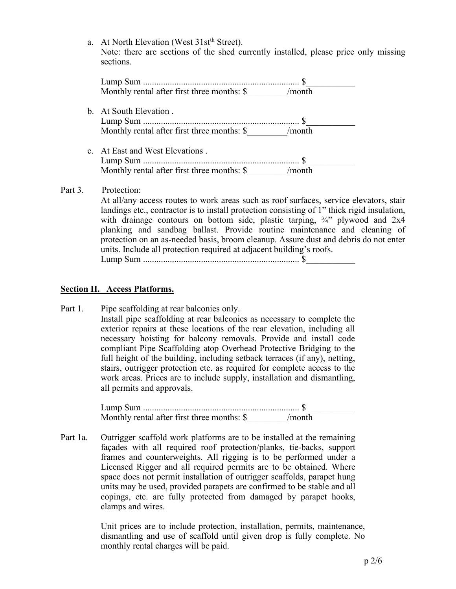a. At North Elevation (West 31st<sup>th</sup> Street). Note: there are sections of the shed currently installed, please price only missing sections.

| Monthly rental after first three months: \$ /month |  |
|----------------------------------------------------|--|
| b. At South Elevation.                             |  |
|                                                    |  |
| Monthly rental after first three months: \$ /month |  |
| c. At East and West Elevations.                    |  |
|                                                    |  |
| Monthly rental after first three months: \$        |  |

### Part 3. Protection:

At all/any access routes to work areas such as roof surfaces, service elevators, stair landings etc., contractor is to install protection consisting of 1" thick rigid insulation, with drainage contours on bottom side, plastic tarping, <sup>3/4</sup>" plywood and 2x4 planking and sandbag ballast. Provide routine maintenance and cleaning of protection on an as-needed basis, broom cleanup. Assure dust and debris do not enter units. Include all protection required at adjacent building's roofs.

Lump Sum ...................................................................... \$\_\_\_\_\_\_\_\_\_\_\_

### **Section II. Access Platforms.**

Part 1. Pipe scaffolding at rear balconies only.

 Install pipe scaffolding at rear balconies as necessary to complete the exterior repairs at these locations of the rear elevation, including all necessary hoisting for balcony removals. Provide and install code compliant Pipe Scaffolding atop Overhead Protective Bridging to the full height of the building, including setback terraces (if any), netting, stairs, outrigger protection etc. as required for complete access to the work areas. Prices are to include supply, installation and dismantling, all permits and approvals.

Lump Sum ...................................................................... \$\_\_\_\_\_\_\_\_\_\_\_ Monthly rental after first three months: \$  $/$  month

Part 1a. Outrigger scaffold work platforms are to be installed at the remaining façades with all required roof protection/planks, tie-backs, support frames and counterweights. All rigging is to be performed under a Licensed Rigger and all required permits are to be obtained. Where space does not permit installation of outrigger scaffolds, parapet hung units may be used, provided parapets are confirmed to be stable and all copings, etc. are fully protected from damaged by parapet hooks, clamps and wires.

> Unit prices are to include protection, installation, permits, maintenance, dismantling and use of scaffold until given drop is fully complete. No monthly rental charges will be paid.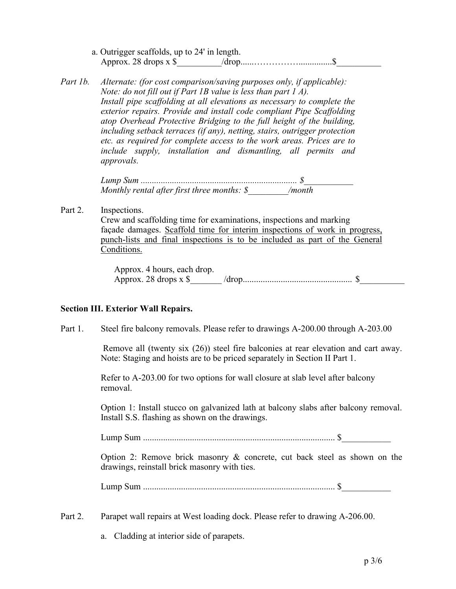- a. Outrigger scaffolds, up to 24' in length. Approx. 28 drops x \$\_\_\_\_\_\_\_\_\_\_/drop......……………...............\$\_\_\_\_\_\_\_\_\_\_
- *Part 1b. Alternate: (for cost comparison/saving purposes only, if applicable): Note: do not fill out if Part 1B value is less than part 1 A). Install pipe scaffolding at all elevations as necessary to complete the exterior repairs. Provide and install code compliant Pipe Scaffolding atop Overhead Protective Bridging to the full height of the building, including setback terraces (if any), netting, stairs, outrigger protection etc. as required for complete access to the work areas. Prices are to include supply, installation and dismantling, all permits and approvals.*

*Lump Sum ...................................................................... \$\_\_\_\_\_\_\_\_\_\_\_ Monthly rental after first three months: \$\_\_\_\_\_\_\_\_\_/month* 

Part 2. Inspections. Crew and scaffolding time for examinations, inspections and marking façade damages. Scaffold time for interim inspections of work in progress, punch-lists and final inspections is to be included as part of the General

> Conditions. Approx. 4 hours, each drop.

Approx. 28 drops x \$\_\_\_\_\_\_\_ /drop................................................. \$\_\_\_\_\_\_\_\_\_\_

#### **Section III. Exterior Wall Repairs.**

Part 1. Steel fire balcony removals. Please refer to drawings A-200.00 through A-203.00

 Remove all (twenty six (26)) steel fire balconies at rear elevation and cart away. Note: Staging and hoists are to be priced separately in Section II Part 1.

 Refer to A-203.00 for two options for wall closure at slab level after balcony removal.

 Option 1: Install stucco on galvanized lath at balcony slabs after balcony removal. Install S.S. flashing as shown on the drawings.

Lump Sum ...................................................................................... \$\_\_\_\_\_\_\_\_\_\_\_

 Option 2: Remove brick masonry & concrete, cut back steel as shown on the drawings, reinstall brick masonry with ties.

Lump Sum ...................................................................................... \$\_\_\_\_\_\_\_\_\_\_\_

Part 2. Parapet wall repairs at West loading dock. Please refer to drawing A-206.00.

a. Cladding at interior side of parapets.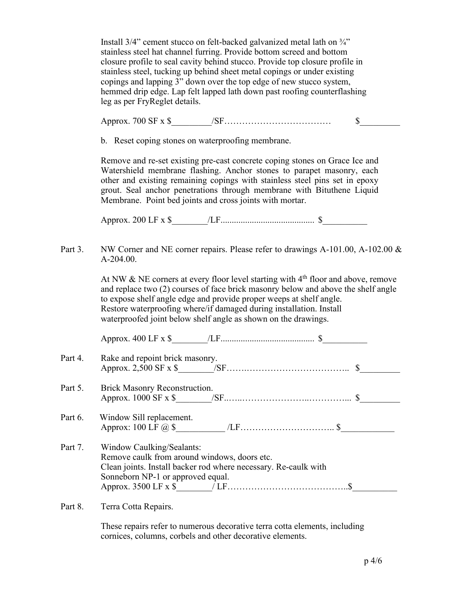Install 3/4" cement stucco on felt-backed galvanized metal lath on ¾" stainless steel hat channel furring. Provide bottom screed and bottom closure profile to seal cavity behind stucco. Provide top closure profile in stainless steel, tucking up behind sheet metal copings or under existing copings and lapping 3" down over the top edge of new stucco system, hemmed drip edge. Lap felt lapped lath down past roofing counterflashing leg as per FryReglet details.

Approx. 700 SF x \$\_\_\_\_\_\_\_\_\_/SF……………………………… \$\_\_\_\_\_\_\_\_\_

b. Reset coping stones on waterproofing membrane.

Remove and re-set existing pre-cast concrete coping stones on Grace Ice and Watershield membrane flashing. Anchor stones to parapet masonry, each other and existing remaining copings with stainless steel pins set in epoxy grout. Seal anchor penetrations through membrane with Bituthene Liquid Membrane. Point bed joints and cross joints with mortar.

Approx. 200 LF x \$\_\_\_\_\_\_\_\_/LF.......................................... \$\_\_\_\_\_\_\_\_\_\_

Part 3. NW Corner and NE corner repairs. Please refer to drawings A-101.00, A-102.00 & A-204.00.

> At NW  $&$  NE corners at every floor level starting with  $4<sup>th</sup>$  floor and above, remove and replace two (2) courses of face brick masonry below and above the shelf angle to expose shelf angle edge and provide proper weeps at shelf angle. Restore waterproofing where/if damaged during installation. Install waterproofed joint below shelf angle as shown on the drawings.

Approx. 400 LF x \$

Part 4. Rake and repoint brick masonry. Approx. 2,500 SF x \$\_\_\_\_\_\_\_\_/SF…….…………………………….. \$\_\_\_\_\_\_\_\_\_ Part 5. Brick Masonry Reconstruction. Approx. 1000 SF x \$\_\_\_\_\_\_\_\_/SF..…..…………………..…………... \$\_\_\_\_\_\_\_\_\_ Part 6. Window Sill replacement. Approx:  $100 \text{ LF } @.$  \$ Part 7. Window Caulking/Sealants: Remove caulk from around windows, doors etc. Clean joints. Install backer rod where necessary. Re-caulk with Sonneborn NP-1 or approved equal.

Part 8. Terra Cotta Repairs.

These repairs refer to numerous decorative terra cotta elements, including cornices, columns, corbels and other decorative elements.

Approx. 3500 LF x \$\_\_\_\_\_\_\_\_/ LF…………………………………..\$\_\_\_\_\_\_\_\_\_\_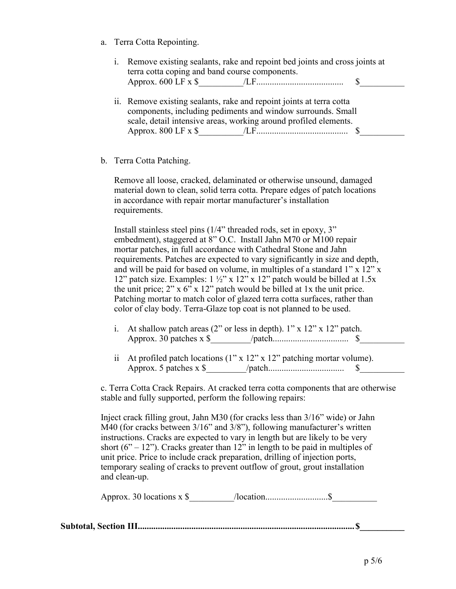a. Terra Cotta Repointing.

|                                | i. Remove existing sealants, rake and repoint bed joints and cross joints at |  |
|--------------------------------|------------------------------------------------------------------------------|--|
|                                | terra cotta coping and band course components.                               |  |
| Approx. $600 \text{ LF } x$ \$ |                                                                              |  |

- ii. Remove existing sealants, rake and repoint joints at terra cotta components, including pediments and window surrounds. Small scale, detail intensive areas, working around profiled elements. Approx. 800 LF x \$\_\_\_\_\_\_\_\_\_\_/LF......................................... \$\_\_\_\_\_\_\_\_\_\_
- b. Terra Cotta Patching.

Remove all loose, cracked, delaminated or otherwise unsound, damaged material down to clean, solid terra cotta. Prepare edges of patch locations in accordance with repair mortar manufacturer's installation requirements.

Install stainless steel pins (1/4" threaded rods, set in epoxy, 3" embedment), staggered at 8" O.C. Install Jahn M70 or M100 repair mortar patches, in full accordance with Cathedral Stone and Jahn requirements. Patches are expected to vary significantly in size and depth, and will be paid for based on volume, in multiples of a standard  $1"$  x  $12"$  x 12" patch size. Examples:  $1\frac{1}{2}$ " x 12" x 12" patch would be billed at 1.5x the unit price;  $2''$  x 6" x 12" patch would be billed at 1x the unit price. Patching mortar to match color of glazed terra cotta surfaces, rather than color of clay body. Terra-Glaze top coat is not planned to be used.

- i. At shallow patch areas  $(2"$  or less in depth). 1" x 12" x 12" patch. Approx. 30 patches x \$\_\_\_\_\_\_\_\_\_/patch.................................. \$\_\_\_\_\_\_\_\_\_\_
- ii At profiled patch locations  $(1'' \times 12'' \times 12'')$  patching mortar volume). Approx. 5 patches x \$\_\_\_\_\_\_\_\_\_/patch.................................. \$\_\_\_\_\_\_\_\_\_\_

c. Terra Cotta Crack Repairs. At cracked terra cotta components that are otherwise stable and fully supported, perform the following repairs:

Inject crack filling grout, Jahn M30 (for cracks less than 3/16" wide) or Jahn M40 (for cracks between 3/16" and 3/8"), following manufacturer's written instructions. Cracks are expected to vary in length but are likely to be very short  $(6" - 12")$ . Cracks greater than 12" in length to be paid in multiples of unit price. Price to include crack preparation, drilling of injection ports, temporary sealing of cracks to prevent outflow of grout, grout installation and clean-up.

| Approx. 30 locations $x \$ |  |  |
|----------------------------|--|--|
|----------------------------|--|--|

|--|--|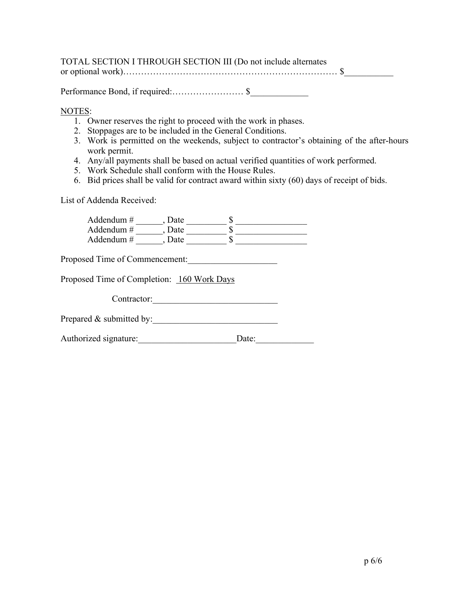| TOTAL SECTION I THROUGH SECTION III (Do not include alternates |  |
|----------------------------------------------------------------|--|
|                                                                |  |
|                                                                |  |

Performance Bond, if required:…………………… \$\_\_\_\_\_\_\_\_\_\_\_\_\_

## NOTES:

- 1. Owner reserves the right to proceed with the work in phases.
- 2. Stoppages are to be included in the General Conditions.
- 3. Work is permitted on the weekends, subject to contractor's obtaining of the after-hours work permit.
- 4. Any/all payments shall be based on actual verified quantities of work performed.
- 5. Work Schedule shall conform with the House Rules.
- 6. Bid prices shall be valid for contract award within sixty (60) days of receipt of bids.

List of Addenda Received:

| Addendum $#$<br>, Date<br>Addendum #<br>, Date<br>Addendum #<br>, Date<br>S |  |
|-----------------------------------------------------------------------------|--|
| Proposed Time of Commencement:                                              |  |
| Proposed Time of Completion: 160 Work Days                                  |  |
| Contractor:                                                                 |  |
| Prepared $\&$ submitted by:                                                 |  |
| Authorized signature:<br>Date:                                              |  |